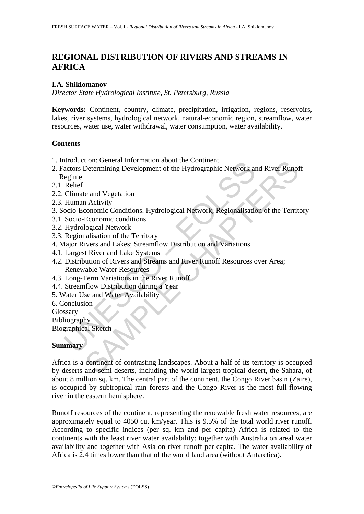# **REGIONAL DISTRIBUTION OF RIVERS AND STREAMS IN AFRICA**

#### **I.A. Shiklomanov**

*Director State Hydrological Institute, St. Petersburg, Russia* 

**Keywords:** Continent, country, climate, precipitation, irrigation, regions, reservoirs, lakes, river systems, hydrological network, natural-economic region, streamflow, water resources, water use, water withdrawal, water consumption, water availability.

#### **Contents**

- 1. Introduction: General Information about the Continent
- moduction. General morntation about the Continent<br>actors Determining Development of the Hydrographic Network and<br>actors Determining Development of the Hydrographic Network<br>egime<br>Relief<br>Climate and Vegetation<br>Succio-Economi 2. Factors Determining Development of the Hydrographic Network and River Runoff Regime
- 2.1. Relief
- 2.2. Climate and Vegetation
- 2.3. Human Activity
- 3. Socio-Economic Conditions. Hydrological Network; Regionalisation of the Territory
- 3.1. Socio-Economic conditions
- 3.2. Hydrological Network
- 3.3. Regionalisation of the Territory
- 4. Major Rivers and Lakes; Streamflow Distribution and Variations
- 4.1. Largest River and Lake Systems
- 4.2. Distribution of Rivers and Streams and River Runoff Resources over Area; Renewable Water Resources
- 4.3. Long-Term Variations in the River Runoff
- 4.4. Streamflow Distribution during a Year
- 5. Water Use and Water Availability
- 6. Conclusion

Glossary

Bibliography

Biographical Sketch

### **Summary**

The Contraction and Solution Contraction<br>
Contraction Conditions Contraction<br>
Control Conditions<br>
Activity<br>
Conomic Conditions<br>
Activity<br>
Conomic Conditions<br>
Activity<br>
Conomic Conditions<br>
Activity<br>
School Charles Chaptace Africa is a continent of contrasting landscapes. About a half of its territory is occupied by deserts and semi-deserts, including the world largest tropical desert, the Sahara, of about 8 million sq. km. The central part of the continent, the Congo River basin (Zaire), is occupied by subtropical rain forests and the Congo River is the most full-flowing river in the eastern hemisphere.

Runoff resources of the continent, representing the renewable fresh water resources, are approximately equal to 4050 cu. km/year. This is 9.5% of the total world river runoff. According to specific indices (per sq. km and per capita) Africa is related to the continents with the least river water availability: together with Australia on areal water availability and together with Asia on river runoff per capita. The water availability of Africa is 2.4 times lower than that of the world land area (without Antarctica).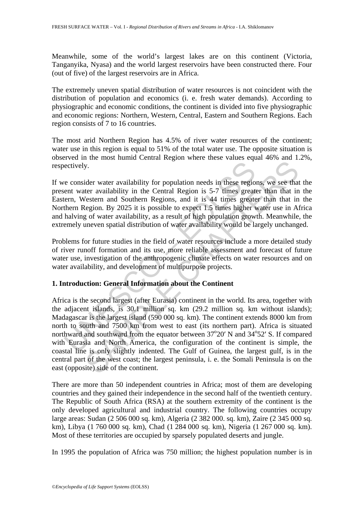Meanwhile, some of the world's largest lakes are on this continent (Victoria, Tanganyika, Nyasa) and the world largest reservoirs have been constructed there. Four (out of five) of the largest reservoirs are in Africa.

The extremely uneven spatial distribution of water resources is not coincident with the distribution of population and economics (i. e. fresh water demands). According to physiographic and economic conditions, the continent is divided into five physiographic and economic regions: Northern, Western, Central, Eastern and Southern Regions. Each region consists of 7 to 16 countries.

The most arid Northern Region has 4.5% of river water resources of the continent; water use in this region is equal to 51% of the total water use. The opposite situation is observed in the most humid Central Region where these values equal 46% and 1.2%, respectively.

If we consider water availability for population needs in these regions, we see that the present water availability in the Central Region is 5-7 times greater than that in the Eastern, Western and Southern Regions, and it is 44 times greater than that in the Northern Region. By 2025 it is possible to expect 1.5 times higher water use in Africa and halving of water availability, as a result of high population growth. Meanwhile, the extremely uneven spatial distribution of water availability would be largely unchanged.

Problems for future studies in the field of water resources include a more detailed study of river runoff formation and its use, more reliable assessment and forecast of future water use, investigation of the anthropogenic climate effects on water resources and on water availability, and development of multipurpose projects.

### **1. Introduction: General Information about the Continent**

e consider water availability for population needs in these region<br>encent water availability in the Central Region is 5-7 times great<br>etern, Western and Southern Regions, and it is 44 times greate<br>them Region. By 2025 it By.<br>
W.<br>
Sy.<br>
Sy.<br>
Sy.<br>
Sy.<br>
Sy.<br>
Sy. The central Region is 5-7 times greater than that in<br>
letter availability in the Central Region is 5-7 times greater than that in<br>
Vesterm and Southern Regions, and it is 44 times gre Africa is the second largest (after Eurasia) continent in the world. Its area, together with the adjacent islands, is 30.1 million sq. km (29.2 million sq. km without islands); Madagascar is the largest island (590 000 sq. km). The continent extends 8000 km from north to south and 7500 km from west to east (its northern part). Africa is situated northward and southward from the equator between  $37^{\circ}20'$  N and  $34^{\circ}52'$  S. If compared with Eurasia and North America, the configuration of the continent is simple, the coastal line is only slightly indented. The Gulf of Guinea, the largest gulf, is in the central part of the west coast; the largest peninsula, i. e. the Somali Peninsula is on the east (opposite) side of the continent.

There are more than 50 independent countries in Africa; most of them are developing countries and they gained their independence in the second half of the twentieth century. The Republic of South Africa (RSA) at the southern extremity of the continent is the only developed agricultural and industrial country. The following countries occupy large areas: Sudan (2 506 000 sq. km), Algeria (2 382 000. sq. km), Zaire (2 345 000 sq. km), Libya (1 760 000 sq. km), Chad (1 284 000 sq. km), Nigeria (1 267 000 sq. km). Most of these territories are occupied by sparsely populated deserts and jungle.

In 1995 the population of Africa was 750 million; the highest population number is in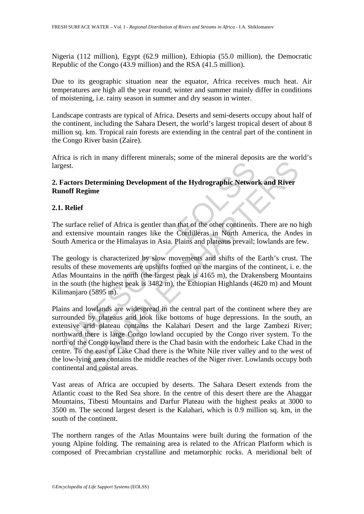Nigeria (112 million), Egypt (62.9 million), Ethiopia (55.0 million), the Democratic Republic of the Congo (43.9 million) and the RSA (41.5 million).

Due to its geographic situation near the equator, Africa receives much heat. Air temperatures are high all the year round; winter and summer mainly differ in conditions of moistening, i.e. rainy season in summer and dry season in winter.

Landscape contrasts are typical of Africa. Deserts and semi-deserts occupy about half of the continent, including the Sahara Desert, the world's largest tropical desert of about 8 million sq. km. Tropical rain forests are extending in the central part of the continent in the Congo River basin (Zaire).

Africa is rich in many different minerals; some of the mineral deposits are the world's largest.

## **2. Factors Determining Development of the Hydrographic Network and River Runoff Regime**

## **2.1. Relief**

The surface relief of Africa is gentler than that of the other continents. There are no high and extensive mountain ranges like the Cordilleras in North America, the Andes in South America or the Himalayas in Asia. Plains and plateaus prevail; lowlands are few.

The geology is characterized by slow movements and shifts of the Earth's crust. The results of these movements are upshifts formed on the margins of the continent, i. e. the Atlas Mountains in the north (the largest peak is 4165 m), the Drakensberg Mountains in the south (the highest peak is 3482 m), the Ethiopian Highlands (4620 m) and Mount Kilimanjaro (5895 m).

est.<br>
actors Determining Development of the Hydrographic Networ<br>
of Regime<br>
Relief<br>
surface relief of Africa is gentler than that of the other continents<br>
extensive mountain ranges like the Cordilleras in North Ame<br>
th Ame Determining Development of the Hydrographic Network and River<br>Determining Development of the Hydrographic Network and River<br>gime<br>experime<br>experiment and the controlleras in North America, the Ande<br>rica or the Himalayas in Plains and lowlands are widespread in the central part of the continent where they are surrounded by plateaus and look like bottoms of huge depressions. In the south, an extensive arid plateau contains the Kalahari Desert and the large Zambezi River; northward there is large Congo lowland occupied by the Congo river system. To the north of the Congo lowland there is the Chad basin with the endorheic Lake Chad in the centre. To the east of Lake Chad there is the White Nile river valley and to the west of the low-lying area contains the middle reaches of the Niger river. Lowlands occupy both continental and coastal areas.

Vast areas of Africa are occupied by deserts. The Sahara Desert extends from the Atlantic coast to the Red Sea shore. In the centre of this desert there are the Ahaggar Mountains, Tibesti Mountains and Darfur Plateau with the highest peaks at 3000 to 3500 m. The second largest desert is the Kalahari, which is 0.9 million sq. km, in the south of the continent.

The northern ranges of the Atlas Mountains were built during the formation of the young Alpine folding. The remaining area is related to the African Platform which is composed of Precambrian crystalline and metamorphic rocks. A meridional belt of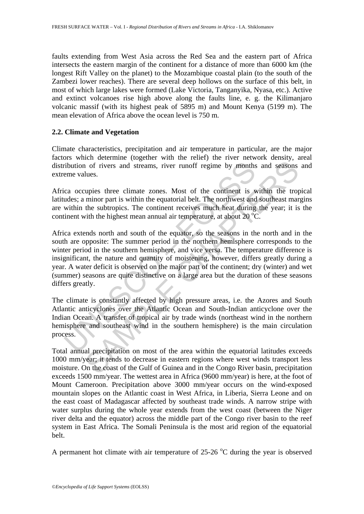faults extending from West Asia across the Red Sea and the eastern part of Africa intersects the eastern margin of the continent for a distance of more than 6000 km (the longest Rift Valley on the planet) to the Mozambique coastal plain (to the south of the Zambezi lower reaches). There are several deep hollows on the surface of this belt, in most of which large lakes were formed (Lake Victoria, Tanganyika, Nyasa, etc.). Active and extinct volcanoes rise high above along the faults line, e. g. the Kilimanjaro volcanic massif (with its highest peak of 5895 m) and Mount Kenya (5199 m). The mean elevation of Africa above the ocean level is 750 m.

### **2.2. Climate and Vegetation**

Climate characteristics, precipitation and air temperature in particular, are the major factors which determine (together with the relief) the river network density, areal distribution of rivers and streams, river runoff regime by months and seasons and extreme values.

Africa occupies three climate zones. Most of the continent is within the tropical latitudes; a minor part is within the equatorial belt. The northwest and southeast margins are within the subtropics. The continent receives much heat during the year; it is the continent with the highest mean annual air temperature, at about 20  $^{\circ}$ C.

ribution of rivers and streams, river runoff regime by months<br>eme values.<br>ca occupies three climate zones. Most of the continent is v<br>addes; a minor part is within the equatorial belt. The northwest and<br>within the subtropi 1 of rivers and streams, river runoff regime by months and seasons lues.<br>
lues.<br>
upies three climate zones. Most of the continent is within the trop<br>
minor part is within the equatorial belt. The northwest and southeast ma Africa extends north and south of the equator, so the seasons in the north and in the south are opposite: The summer period in the northern hemisphere corresponds to the winter period in the southern hemisphere, and vice versa. The temperature difference is insignificant, the nature and quantity of moistening, however, differs greatly during a year. A water deficit is observed on the major part of the continent; dry (winter) and wet (summer) seasons are quite distinctive on a large area but the duration of these seasons differs greatly.

The climate is constantly affected by high pressure areas, i.e. the Azores and South Atlantic anticyclones over the Atlantic Ocean and South-Indian anticyclone over the Indian Ocean. A transfer of tropical air by trade winds (northeast wind in the northern hemisphere and southeast wind in the southern hemisphere) is the main circulation process.

Total annual precipitation on most of the area within the equatorial latitudes exceeds 1000 mm/year; it tends to decrease in eastern regions where west winds transport less moisture. On the coast of the Gulf of Guinea and in the Congo River basin, precipitation exceeds 1500 mm/year. The wettest area in Africa (9600 mm/year) is here, at the foot of Mount Cameroon. Precipitation above 3000 mm/year occurs on the wind-exposed mountain slopes on the Atlantic coast in West Africa, in Liberia, Sierra Leone and on the east coast of Madagascar affected by southeast trade winds. A narrow stripe with water surplus during the whole year extends from the west coast (between the Niger river delta and the equator) across the middle part of the Congo river basin to the reef system in East Africa. The Somali Peninsula is the most arid region of the equatorial belt.

A permanent hot climate with air temperature of  $25{\text -}26$  °C during the year is observed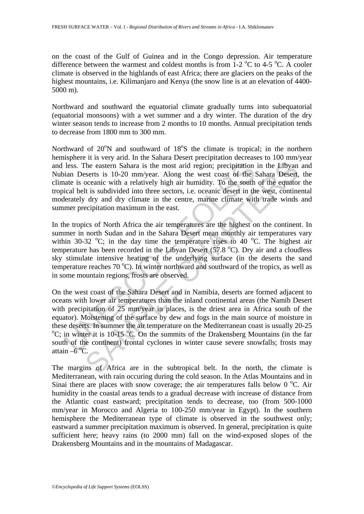on the coast of the Gulf of Guinea and in the Congo depression. Air temperature difference between the warmest and coldest months is from  $1\n-2$  °C to 4-5 °C. A cooler climate is observed in the highlands of east Africa; there are glaciers on the peaks of the highest mountains, i.e. Kilimanjaro and Kenya (the snow line is at an elevation of 4400- 5000 m).

Northward and southward the equatorial climate gradually turns into subequatorial (equatorial monsoons) with a wet summer and a dry winter. The duration of the dry winter season tends to increase from 2 months to 10 months. Annual precipitation tends to decrease from 1800 mm to 300 mm.

Northward of  $20^{\circ}$ N and southward of  $18^{\circ}$ S the climate is tropical; in the northern hemisphere it is very arid. In the Sahara Desert precipitation decreases to 100 mm/year and less. The eastern Sahara is the most arid region; precipitation in the Libyan and Nubian Deserts is 10-20 mm/year. Along the west coast of the Sahara Desert, the climate is oceanic with a relatively high air humidity. To the south of the equator the tropical belt is subdivided into three sectors, i.e. oceanic desert in the west, continental moderately dry and dry climate in the centre, marine climate with trade winds and summer precipitation maximum in the east.

In the tropics of North Africa the air temperatures are the highest on the continent. In summer in north Sudan and in the Sahara Desert mean monthly air temperatures vary within 30-32  $\textdegree$ C; in the day time the temperature rises to 40  $\textdegree$ C. The highest air temperature has been recorded in the Libyan Desert (57.8  $^{\circ}$ C). Dry air and a cloudless sky stimulate intensive heating of the underlying surface (in the deserts the sand temperature reaches  $70^{\circ}$ C). In winter northward and southward of the tropics, as well as in some mountain regions, frosts are observed.

less. The eastern Sahara is the most arid region; precipitation<br>ian Deserts is 10-20 mm/year. Along the west coast of the S<br>atate is oceanic with a relatively high air humidity. To the south<br>ical belt is subdivided into t The eastern Sahara is the most arid region; precipitation in the Libyan check the eastern Sahara is the most arid region; precipitation in the Libyan coceanic with a relatively high air humidity. To the south of the equat On the west coast of the Sahara Desert and in Namibia, deserts are formed adjacent to oceans with lower air temperatures than the inland continental areas (the Namib Desert with precipitation of 25 mm/year in places, is the driest area in Africa south of the equator). Moistening of the surface by dew and fogs in the main source of moisture in these deserts. In summer the air temperature on the Mediterranean coast is usually 20-25 C; in winter it is  $10-15\,^{\circ}$ C. On the summits of the Drakensberg Mountains (in the far south of the continent) frontal cyclones in winter cause severe snowfalls; frosts may attain  $-6^{\circ}$ C.

The margins of Africa are in the subtropical belt. In the north, the climate is Mediterranean, with rain occuring during the cold season. In the Atlas Mountains and in Sinai there are places with snow coverage; the air temperatures falls below  $0^{\circ}$ C. Air humidity in the coastal areas tends to a gradual decrease with increase of distance from the Atlantic coast eastward; precipitation tends to decrease, too (from 500-1000 mm/year in Morocco and Algeria to 100-250 mm/year in Egypt). In the southern hemisphere the Mediterranean type of climate is observed in the southwest only; eastward a summer precipitation maximum is observed. In general, precipitation is quite sufficient here; heavy rains (to 2000 mm) fall on the wind-exposed slopes of the Drakensberg Mountains and in the mountains of Madagascar.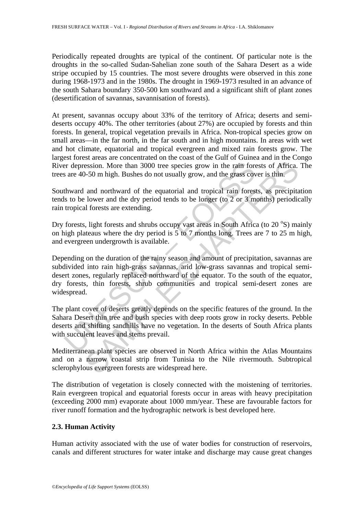Periodically repeated droughts are typical of the continent. Of particular note is the droughts in the so-called Sudan-Sahelian zone south of the Sahara Desert as a wide stripe occupied by 15 countries. The most severe droughts were observed in this zone during 1968-1973 and in the 1980s. The drought in 1969-1973 resulted in an advance of the south Sahara boundary 350-500 km southward and a significant shift of plant zones (desertification of savannas, savannisation of forests).

At present, savannas occupy about 33% of the territory of Africa; deserts and semideserts occupy 40%. The other territories (about 27%) are occupied by forests and thin forests. In general, tropical vegetation prevails in Africa. Non-tropical species grow on small areas—in the far north, in the far south and in high mountains. In areas with wet and hot climate, equatorial and tropical evergreen and mixed rain forests grow. The largest forest areas are concentrated on the coast of the Gulf of Guinea and in the Congo River depression. More than 3000 tree species grow in the rain forests of Africa. The trees are 40-50 m high. Bushes do not usually grow, and the grass cover is thin.

Southward and northward of the equatorial and tropical rain forests, as precipitation tends to be lower and the dry period tends to be longer (to 2 or 3 months) periodically rain tropical forests are extending.

Dry forests, light forests and shrubs occupy vast areas in South Africa (to 20 °S) mainly on high plateaus where the dry period is 5 to 7 months long. Trees are 7 to 25 m high, and evergreen undergrowth is available.

er depression. More than 3000 tree species grow in the rain fores are 40-50 m high. Bushes do not usually grow, and the grass cov<br>thward and northward of the equatorial and tropical rain forests to be lower and the dry per session. More than 3000 tree species grow in the raim forests of Africa.<br>-50 m high. Bushes do not usually grow, and the grans cover is thin.<br>and northward of the equatorial and tropical rain forests, as precipital<br>lower a Depending on the duration of the rainy season and amount of precipitation, savannas are subdivided into rain high-grass savannas, arid low-grass savannas and tropical semidesert zones, regularly replaced northward of the equator. To the south of the equator, dry forests, thin forests, shrub communities and tropical semi-desert zones are widespread.

The plant cover of deserts greatly depends on the specific features of the ground. In the Sahara Desert thin tree and bush species with deep roots grow in rocky deserts. Pebble deserts and shifting sandhills have no vegetation. In the deserts of South Africa plants with succulent leaves and stems prevail.

Mediterranean plant species are observed in North Africa within the Atlas Mountains and on a narrow coastal strip from Tunisia to the Nile rivermouth. Subtropical sclerophylous evergreen forests are widespread here.

The distribution of vegetation is closely connected with the moistening of territories. Rain evergreen tropical and equatorial forests occur in areas with heavy precipitation (exceeding 2000 mm) evaporate about 1000 mm/year. These are favourable factors for river runoff formation and the hydrographic network is best developed here.

### **2.3. Human Activity**

Human activity associated with the use of water bodies for construction of reservoirs, canals and different structures for water intake and discharge may cause great changes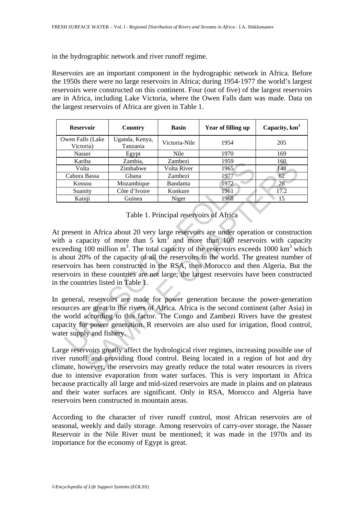in the hydrographic network and river runoff regime.

Reservoirs are an important component in the hydrographic network in Africa. Before the 1950s there were no large reservoirs in Africa; during 1954-1977 the world's largest reservoirs were constructed on this continent. Four (out of five) of the largest reservoirs are in Africa, including Lake Victoria, where the Owen Falls dam was made. Data on the largest reservoirs of Africa are given in Table 1.

| <b>Reservoir</b>               | Country                    | <b>Basin</b>  | Year of filling up | Capacity, $km3$ |
|--------------------------------|----------------------------|---------------|--------------------|-----------------|
| Owen Falls (Lake)<br>Victoria) | Uganda, Kenya,<br>Tanzania | Victoria-Nile | 1954               | 205             |
| Nasser                         | Egypt                      | Nile          | 1970               | 169             |
| Kariba                         | Zambia.                    | Zambezi       | 1959               | 160             |
| Volta                          | Zimbabwe                   | Volta River   | 1965               | 148             |
| Cabora Bassa                   | Ghana                      | Zambezi       | 1977               | 62              |
| Kossou                         | Mozambique                 | Bandama       | 1972               | 28              |
| Suanity                        | Côte d'Ivoire              | Konkure       | 1961               | 17.2            |
| Kainji                         | Guinea                     | Niger         | 1968               | 15              |

Table 1. Principal reservoirs of Africa

Karba Zambaix, Zambaix 1959<br>
Volta Zimbabwe Volta River 1965<br>
Cabora Bassa Ghana Zambezi 1977<br>
Kossou Mozambique Bandama 1972<br>
Suanity Côte d'Ivoire Konkure 1966<br>
Kainji Giunea Niger<br>
Table 1. Principal reservoirs of Afric Thankin, Zambezi 1959<br>
Ita<br>
Ita Zimbabwe Volta River 1965 160<br>
Ita<br>
Bassa Ghana Zambezi 1977 62<br>
Sou Mozambique Bandama 1972<br>
ity Côte d'Ivoire Konkure 1961 17:2<br>
inj Côte d'Ivoire Konkure 1961 17:2<br>
inj Giunea Niger 1968 At present in Africa about 20 very large reservoirs are under operation or construction with a capacity of more than  $5 \text{ km}^3$  and more than 100 reservoirs with capacity exceeding 100 million  $m^3$ . The total capacity of the reservoirs exceeds 1000 km<sup>3</sup> which is about 20% of the capacity of all the reservoirs in the world. The greatest number of reservoirs has been constructed in the RSA, then Morocco and then Algeria. But the reservoirs in these countries are not large; the largest reservoirs have been constructed in the countries listed in Table 1.

In general, reservoirs are made for power generation because the power-generation resources are great in the rivers of Africa. Africa is the second continent (after Asia) in the world according to this factor. The Congo and Zambezi Rivers have the greatest capacity for power generation. R reservoirs are also used for irrigation, flood control, water supply and fishery.

Large reservoirs greatly affect the hydrological river regimes, increasing possible use of river runoff and providing flood control. Being located in a region of hot and dry climate, however, the reservoirs may greatly reduce the total water resources in rivers due to intensive evaporation from water surfaces. This is very important in Africa because practically all large and mid-sized reservoirs are made in plains and on plateaus and their water surfaces are significant. Only in RSA, Morocco and Algeria have reservoirs been constructed in mountain areas.

According to the character of river runoff control, most African reservoirs are of seasonal, weekly and daily storage. Among reservoirs of carry-over storage, the Nasser Reservoir in the Nile River must be mentioned; it was made in the 1970s and its importance for the economy of Egypt is great.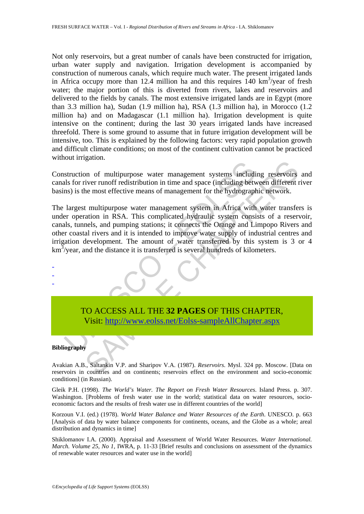Not only reservoirs, but a great number of canals have been constructed for irrigation, urban water supply and navigation. Irrigation development is accompanied by construction of numerous canals, which require much water. The present irrigated lands in Africa occupy more than 12.4 million ha and this requires  $140 \text{ km}^3/\text{year}$  of fresh water; the major portion of this is diverted from rivers, lakes and reservoirs and delivered to the fields by canals. The most extensive irrigated lands are in Egypt (more than 3.3 million ha), Sudan (1.9 million ha), RSA (1.3 million ha), in Morocco (1.2 million ha) and on Madagascar (1.1 million ha). Irrigation development is quite intensive on the continent; during the last 30 years irrigated lands have increased threefold. There is some ground to assume that in future irrigation development will be intensive, too. This is explained by the following factors: very rapid population growth and difficult climate conditions; on most of the continent cultivation cannot be practiced without irrigation.

Construction of multipurpose water management systems including reservoirs and canals for river runoff redistribution in time and space (including between different river basins) is the most effective means of management for the hydrographic network.

Exercise of multipurpose water management systems includials for river runoff redistribution in time and space (including between the new star effective means of management for the hydrograph largest multipurpose water man mann of multipurpose water management systems including reservoirs<br>iver runoff redistribution in time and space (including between different<br>the most effective means of management for the hydrographic network.<br>
t multipurp The largest multipurpose water management system in Africa with water transfers is under operation in RSA. This complicated hydraulic system consists of a reservoir, canals, tunnels, and pumping stations; it connects the Orange and Limpopo Rivers and other coastal rivers and it is intended to improve water supply of industrial centres and irrigation development. The amount of water transferred by this system is 3 or 4  $km<sup>3</sup>/year$ , and the distance it is transferred is several hundreds of kilometers.

# TO ACCESS ALL THE **32 PAGES** OF THIS CHAPTER, Visit: http://www.eolss.net/Eolss-sampleAllChapter.aspx

#### **Bibliography**

- - -

Avakian A.B., Saltankin V.P. and Sharipov V.A. (1987). *Reservoirs*. Mysl. 324 pp. Moscow. [Data on reservoirs in countries and on continents; reservoirs effect on the environment and socio-economic conditions] (in Russian).

Gleik P.H. (1998). *The World's Water. The Report on Fresh Water Resources*. Island Press. p. 307. Washington. [Problems of fresh water use in the world; statistical data on water resources, socioeconomic factors and the results of fresh water use in different countries of the world]

Korzoun V.I. (ed.) (1978). *World Water Balance and Water Resources of the Earth*. UNESCO. p. 663 [Analysis of data by water balance components for continents, oceans, and the Globe as a whole; areal distribution and dynamics in time]

Shiklomanov I.A. (2000). Appraisal and Assessment of World Water Resources. *Water International. March. Volume 25, No 1*, IWRA, p. 11-33 [Brief results and conclusions on assessment of the dynamics of renewable water resources and water use in the world]